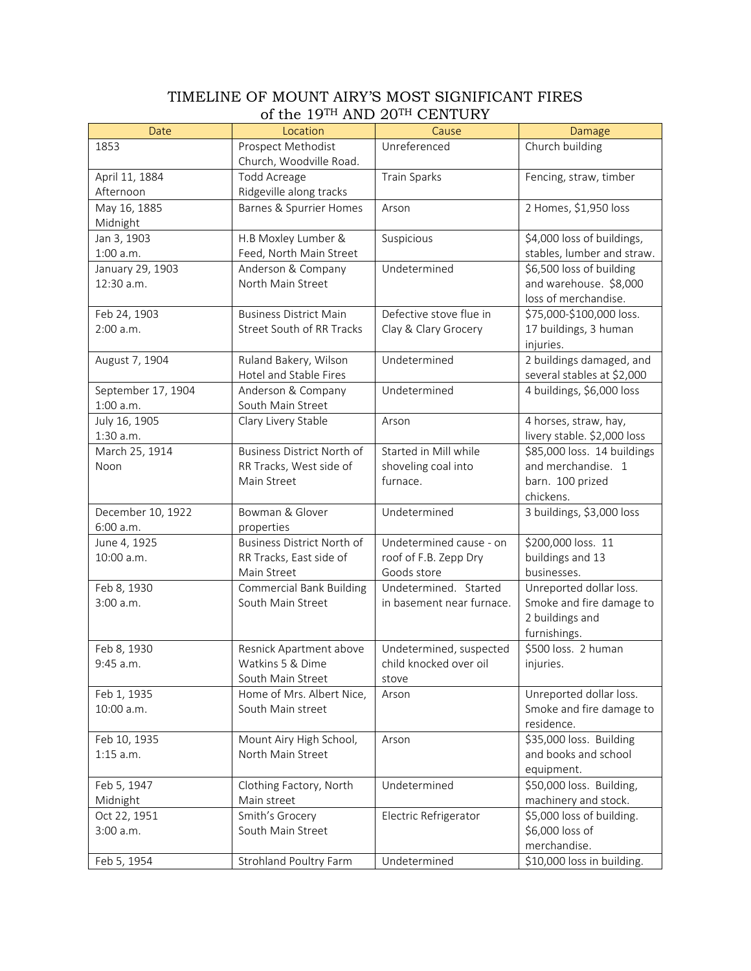## TIMELINE OF MOUNT AIRY'S MOST SIGNIFICANT FIRES of the 19TH AND 20TH CENTURY

| Date               | Location                               | Cause                           | Damage                        |
|--------------------|----------------------------------------|---------------------------------|-------------------------------|
| 1853               | Prospect Methodist                     | Unreferenced                    | Church building               |
|                    | Church, Woodville Road.                |                                 |                               |
| April 11, 1884     | Todd Acreage                           | <b>Train Sparks</b>             | Fencing, straw, timber        |
| Afternoon          | Ridgeville along tracks                |                                 |                               |
| May 16, 1885       | <b>Barnes &amp; Spurrier Homes</b>     | Arson                           | 2 Homes, \$1,950 loss         |
| Midnight           |                                        |                                 |                               |
| Jan 3, 1903        | H.B Moxley Lumber &                    | Suspicious                      | \$4,000 loss of buildings,    |
| 1:00 a.m.          | Feed, North Main Street                |                                 | stables, lumber and straw.    |
| January 29, 1903   | Anderson & Company                     | Undetermined                    | \$6,500 loss of building      |
| 12:30 a.m.         | North Main Street                      |                                 | and warehouse. \$8,000        |
|                    |                                        |                                 | loss of merchandise.          |
| Feb 24, 1903       | <b>Business District Main</b>          | Defective stove flue in         | \$75,000-\$100,000 loss.      |
| 2:00 a.m.          | Street South of RR Tracks              | Clay & Clary Grocery            | 17 buildings, 3 human         |
|                    |                                        |                                 | injuries.                     |
| August 7, 1904     | Ruland Bakery, Wilson                  | Undetermined                    | 2 buildings damaged, and      |
|                    | Hotel and Stable Fires                 |                                 | several stables at \$2,000    |
| September 17, 1904 | Anderson & Company                     | Undetermined                    | 4 buildings, \$6,000 loss     |
| $1:00$ a.m.        | South Main Street                      |                                 |                               |
| July 16, 1905      | Clary Livery Stable                    | Arson                           | 4 horses, straw, hay,         |
| 1:30 a.m.          |                                        |                                 | livery stable. \$2,000 loss   |
| March 25, 1914     | Business District North of             | Started in Mill while           | \$85,000 loss. 14 buildings   |
| Noon               | RR Tracks, West side of<br>Main Street | shoveling coal into<br>furnace. | and merchandise. 1            |
|                    |                                        |                                 | barn. 100 prized<br>chickens. |
| December 10, 1922  | Bowman & Glover                        | Undetermined                    | 3 buildings, \$3,000 loss     |
| 6:00 a.m.          | properties                             |                                 |                               |
| June 4, 1925       | <b>Business District North of</b>      | Undetermined cause - on         | \$200,000 loss. 11            |
| 10:00 a.m.         | RR Tracks, East side of                | roof of F.B. Zepp Dry           | buildings and 13              |
|                    | Main Street                            | Goods store                     | businesses.                   |
| Feb 8, 1930        | <b>Commercial Bank Building</b>        | Undetermined. Started           | Unreported dollar loss.       |
| 3:00 a.m.          | South Main Street                      | in basement near furnace.       | Smoke and fire damage to      |
|                    |                                        |                                 | 2 buildings and               |
|                    |                                        |                                 | furnishings.                  |
| Feb 8, 1930        | Resnick Apartment above                | Undetermined, suspected         | \$500 loss. 2 human           |
| 9:45 a.m.          | Watkins 5 & Dime                       | child knocked over oil          | injuries.                     |
|                    | South Main Street                      | stove                           |                               |
| Feb 1, 1935        | Home of Mrs. Albert Nice,              | Arson                           | Unreported dollar loss.       |
| 10:00 a.m.         | South Main street                      |                                 | Smoke and fire damage to      |
|                    |                                        |                                 | residence.                    |
| Feb 10, 1935       | Mount Airy High School,                | Arson                           | \$35,000 loss. Building       |
| $1:15$ a.m.        | North Main Street                      |                                 | and books and school          |
|                    |                                        |                                 | equipment.                    |
| Feb 5, 1947        | Clothing Factory, North                | Undetermined                    | \$50,000 loss. Building,      |
| Midnight           | Main street                            |                                 | machinery and stock.          |
| Oct 22, 1951       | Smith's Grocery                        | Electric Refrigerator           | \$5,000 loss of building.     |
| 3:00 a.m.          | South Main Street                      |                                 | \$6,000 loss of               |
|                    |                                        |                                 | merchandise.                  |
| Feb 5, 1954        | Strohland Poultry Farm                 | Undetermined                    | \$10,000 loss in building.    |